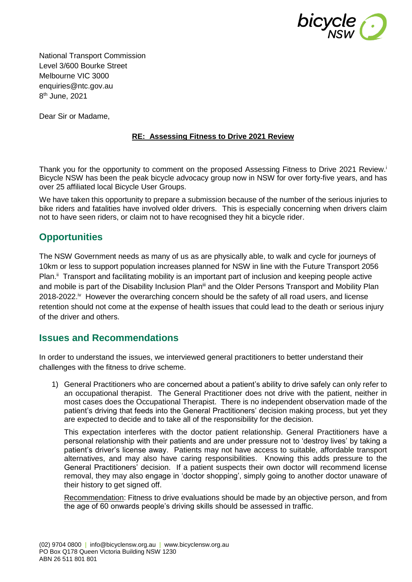

National Transport Commission Level 3/600 Bourke Street Melbourne VIC 3000 enquiries@ntc.gov.au 8 th June, 2021

Dear Sir or Madame,

## **RE: Assessing Fitness to Drive 2021 Review**

Thank you for the opportunity to comment on the proposed Assessing Fitness to Drive 2021 Review.<sup>i</sup> Bicycle NSW has been the peak bicycle advocacy group now in NSW for over forty-five years, and has over 25 affiliated local Bicycle User Groups.

We have taken this opportunity to prepare a submission because of the number of the serious injuries to bike riders and fatalities have involved older drivers. This is especially concerning when drivers claim not to have seen riders, or claim not to have recognised they hit a bicycle rider.

## **Opportunities**

The NSW Government needs as many of us as are physically able, to walk and cycle for journeys of 10km or less to support population increases planned for NSW in line with the Future Transport 2056 Plan.<sup>ii</sup> Transport and facilitating mobility is an important part of inclusion and keeping people active and mobile is part of the Disability Inclusion Plan<sup>iii</sup> and the Older Persons Transport and Mobility Plan 2018-2022.<sup>iv</sup> However the overarching concern should be the safety of all road users, and license retention should not come at the expense of health issues that could lead to the death or serious injury of the driver and others.

## **Issues and Recommendations**

In order to understand the issues, we interviewed general practitioners to better understand their challenges with the fitness to drive scheme.

1) General Practitioners who are concerned about a patient's ability to drive safely can only refer to an occupational therapist. The General Practitioner does not drive with the patient, neither in most cases does the Occupational Therapist. There is no independent observation made of the patient's driving that feeds into the General Practitioners' decision making process, but yet they are expected to decide and to take all of the responsibility for the decision.

This expectation interferes with the doctor patient relationship. General Practitioners have a personal relationship with their patients and are under pressure not to 'destroy lives' by taking a patient's driver's license away. Patients may not have access to suitable, affordable transport alternatives, and may also have caring responsibilities. Knowing this adds pressure to the General Practitioners' decision. If a patient suspects their own doctor will recommend license removal, they may also engage in 'doctor shopping', simply going to another doctor unaware of their history to get signed off.

Recommendation: Fitness to drive evaluations should be made by an objective person, and from the age of 60 onwards people's driving skills should be assessed in traffic.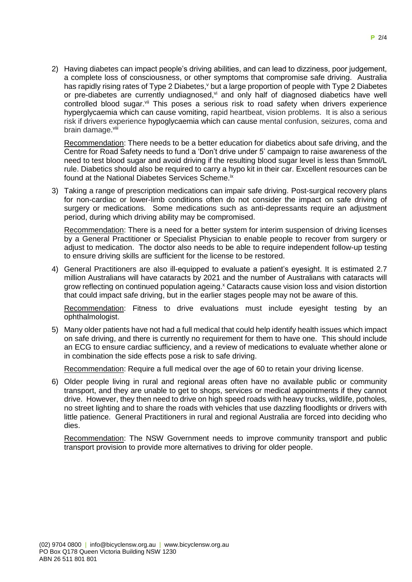2) Having diabetes can impact people's driving abilities, and can lead to dizziness, poor judgement, a complete loss of consciousness, or other symptoms that compromise safe driving. Australia has rapidly rising rates of Type 2 Diabetes, *v* but a large proportion of people with Type 2 Diabetes or pre-diabetes are currently undiagnosed. $\forall$  and only half of diagnosed diabetics have well controlled blood sugar.<sup>vii</sup> This poses a serious risk to road safety when drivers experience hyperglycaemia which can cause vomiting, rapid heartbeat, vision problems. It is also a serious risk if drivers experience hypoglycaemia which can cause mental confusion, seizures, coma and brain damage.<sup>viii</sup>

Recommendation: There needs to be a better education for diabetics about safe driving, and the Centre for Road Safety needs to fund a 'Don't drive under 5' campaign to raise awareness of the need to test blood sugar and avoid driving if the resulting blood sugar level is less than 5mmol/L rule. Diabetics should also be required to carry a hypo kit in their car. Excellent resources can be found at the National Diabetes Services Scheme.<sup>ix</sup>

3) Taking a range of prescription medications can impair safe driving. Post-surgical recovery plans for non-cardiac or lower-limb conditions often do not consider the impact on safe driving of surgery or medications. Some medications such as anti-depressants require an adjustment period, during which driving ability may be compromised.

Recommendation: There is a need for a better system for interim suspension of driving licenses by a General Practitioner or Specialist Physician to enable people to recover from surgery or adjust to medication. The doctor also needs to be able to require independent follow-up testing to ensure driving skills are sufficient for the license to be restored.

4) General Practitioners are also ill-equipped to evaluate a patient's eyesight. It is estimated 2.7 million Australians will have cataracts by 2021 and the number of Australians with cataracts will grow reflecting on continued population ageing.<sup>x</sup> Cataracts cause vision loss and vision distortion that could impact safe driving, but in the earlier stages people may not be aware of this.

Recommendation: Fitness to drive evaluations must include eyesight testing by an ophthalmologist.

5) Many older patients have not had a full medical that could help identify health issues which impact on safe driving, and there is currently no requirement for them to have one. This should include an ECG to ensure cardiac sufficiency, and a review of medications to evaluate whether alone or in combination the side effects pose a risk to safe driving.

Recommendation: Require a full medical over the age of 60 to retain your driving license.

6) Older people living in rural and regional areas often have no available public or community transport, and they are unable to get to shops, services or medical appointments if they cannot drive. However, they then need to drive on high speed roads with heavy trucks, wildlife, potholes, no street lighting and to share the roads with vehicles that use dazzling floodlights or drivers with little patience. General Practitioners in rural and regional Australia are forced into deciding who dies.

Recommendation: The NSW Government needs to improve community transport and public transport provision to provide more alternatives to driving for older people.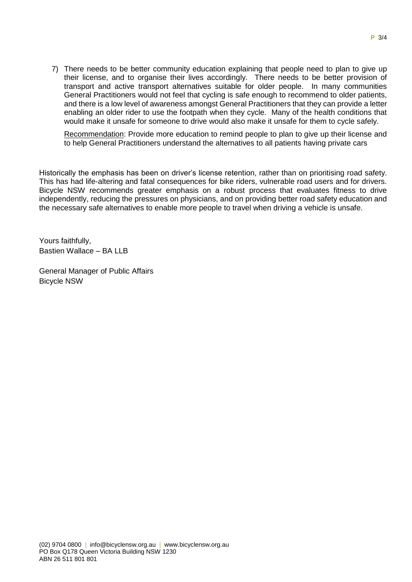7) There needs to be better community education explaining that people need to plan to give up their license, and to organise their lives accordingly. There needs to be better provision of transport and active transport alternatives suitable for older people. In many communities General Practitioners would not feel that cycling is safe enough to recommend to older patients, and there is a low level of awareness amongst General Practitioners that they can provide a letter enabling an older rider to use the footpath when they cycle. Many of the health conditions that would make it unsafe for someone to drive would also make it unsafe for them to cycle safely.

Recommendation: Provide more education to remind people to plan to give up their license and to help General Practitioners understand the alternatives to all patients having private cars

Historically the emphasis has been on driver's license retention, rather than on prioritising road safety. This has had life-altering and fatal consequences for bike riders, vulnerable road users and for drivers. Bicycle NSW recommends greater emphasis on a robust process that evaluates fitness to drive independently, reducing the pressures on physicians, and on providing better road safety education and the necessary safe alternatives to enable more people to travel when driving a vehicle is unsafe.

Yours faithfully, Bastien Wallace – BA LLB

General Manager of Public Affairs Bicycle NSW